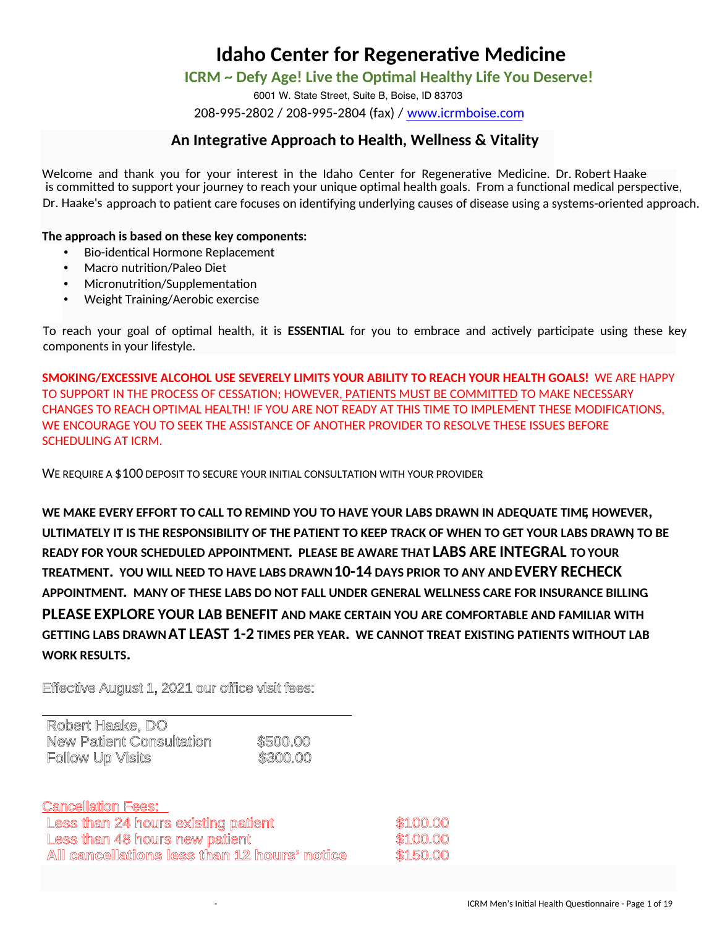### **ICRM ~ Defy Age! Live the Optimal Healthy Life You Deserve!**

6001 W. State Street, Suite B, Boise, ID 83703 208-995-2802 / 208-995-2804 (fax) / www.icrmboise.com

### **An Integrative Approach to Health, Wellness & Vitality**

Welcome and thank you for your interest in the Idaho Center for Regenerative Medicine. Dr. Robert Haake is committed to support your journey to reach your unique optimal health goals. From a functional medical perspective, Dr. Haake's approach to patient care focuses on identifying underlying causes of disease using a systems-oriented approach.

**The approach is based on these key components:** 

- Bio-identical Hormone Replacement
- Macro nutrition/Paleo Diet
- Micronutrition/Supplementation
- Weight Training/Aerobic exercise

To reach your goal of optimal health, it is **ESSENTIAL** for you to embrace and actively participate using these key components in your lifestyle.

**SMOKING/EXCESSIVE ALCOHOL USE SEVERELY LIMITS YOUR ABILITY TO REACH YOUR HEALTH GOALS!** WE ARE HAPPY TO SUPPORT IN THE PROCESS OF CESSATION; HOWEVER, PATIENTS MUST BE COMMITTED TO MAKE NECESSARY CHANGES TO REACH OPTIMAL HEALTH! IF YOU ARE NOT READY AT THIS TIME TO IMPLEMENT THESE MODIFICATIONS, WE ENCOURAGE YOU TO SEEK THE ASSISTANCE OF ANOTHER PROVIDER TO RESOLVE THESE ISSUES BEFORE SCHEDULING AT ICRM.

WE REQUIRE A \$100 DEPOSIT TO SECURE YOUR INITIAL CONSULTATION WITH YOUR PROVIDER

**WE MAKE EVERY EFFORT TO CALL TO REMIND YOU TO HAVE YOUR LABS DRAWN IN ADEQUATE TIME, HOWEVER, ULTIMATELY IT IS THE RESPONSIBILITY OF THE PATIENT TO KEEP TRACK OF WHEN TO GET YOUR LABS DRAWN, TO BE READY FOR YOUR SCHEDULED APPOINTMENT. PLEASE BE AWARE THAT LABS ARE INTEGRAL TO YOUR TREATMENT. YOU WILL NEED TO HAVE LABS DRAWN 10-14 DAYS PRIOR TO ANY AND EVERY RECHECK APPOINTMENT. MANY OF THESE LABS DO NOT FALL UNDER GENERAL WELLNESS CARE FOR INSURANCE BILLING. PLEASE EXPLORE YOUR LAB BENEFIT AND MAKE CERTAIN YOU ARE COMFORTABLE AND FAMILIAR WITH GETTING LABS DRAWN AT LEAST 1-2 TIMES PER YEAR. WE CANNOT TREAT EXISTING PATIENTS WITHOUT LAB WORK RESULTS.** 

Effective August 1, 2021 our office visit fees:

| Robert Haake, DO         |          |
|--------------------------|----------|
| New Patient Consultation | \$500.00 |
| Follow Up Visits         | \$300.00 |

Cancellation Fees: Less than 24 hours existing patient measurement \$100.00 Less than 48 hours new patient manufacturers and \$100.00 **All cancellations less than 12 hours' notice** \$150.00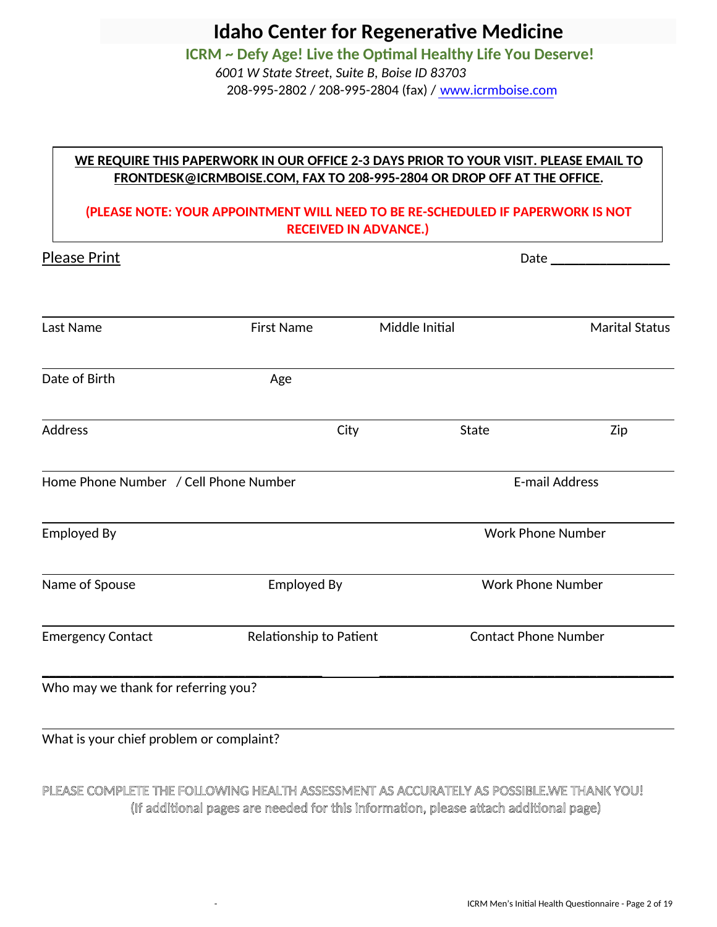**ICRM ~ Defy Age! Live the Optimal Healthy Life You Deserve!**   *6001 W State Street, Suite B, Boise ID 83703*

208-995-2802 / 208-995-2804 (fax) / www.icrmboise.com

## **WE REQUIRE THIS PAPERWORK IN OUR OFFICE 2-3 DAYS PRIOR TO YOUR VISIT. PLEASE EMAIL TO FRONTDESK@ICRMBOISE.COM, FAX TO 208-995-2804 OR DROP OFF AT THE OFFICE.**

### **(PLEASE NOTE: YOUR APPOINTMENT WILL NEED TO BE RE-SCHEDULED IF PAPERWORK IS NOT RECEIVED IN ADVANCE.)**

| <b>Please Print</b>                 |                                       |      |                       | <b>Date Date</b> |                             |  |  |
|-------------------------------------|---------------------------------------|------|-----------------------|------------------|-----------------------------|--|--|
| Last Name                           | <b>First Name</b>                     |      | Middle Initial        |                  | <b>Marital Status</b>       |  |  |
| Date of Birth                       | Age                                   |      |                       |                  |                             |  |  |
| <b>Address</b>                      |                                       | City |                       | State            | Zip                         |  |  |
|                                     | Home Phone Number / Cell Phone Number |      | <b>E-mail Address</b> |                  |                             |  |  |
| <b>Employed By</b>                  |                                       |      |                       |                  | <b>Work Phone Number</b>    |  |  |
| Name of Spouse                      | <b>Employed By</b>                    |      |                       |                  | <b>Work Phone Number</b>    |  |  |
| <b>Emergency Contact</b>            | Relationship to Patient               |      |                       |                  | <b>Contact Phone Number</b> |  |  |
| Who may we thank for referring you? |                                       |      |                       |                  |                             |  |  |

What is your chief problem or complaint?

# PLEASE COMPLETE THE FOLLOWING HEALTH ASSESSMENT AS ACCURATELY AS POSSIBLE. WE THANK YOU! (If additional pages are needed for this information, please attach additional page)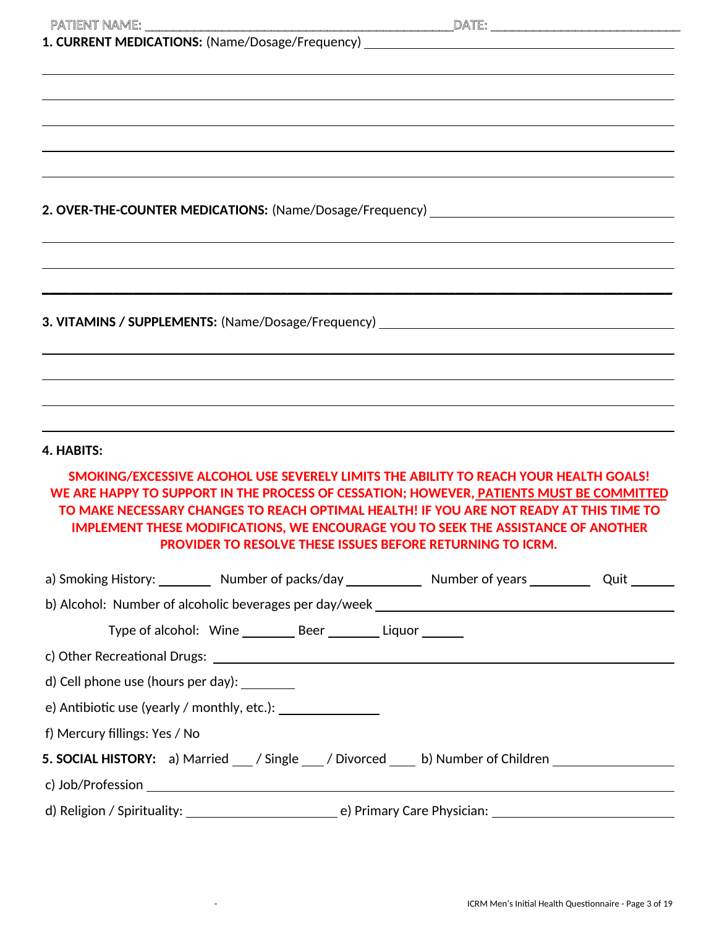| 2. OVER-THE-COUNTER MEDICATIONS: (Name/Dosage/Frequency) _______________________ |                                                                |                                                                                                                                                                                   |  |
|----------------------------------------------------------------------------------|----------------------------------------------------------------|-----------------------------------------------------------------------------------------------------------------------------------------------------------------------------------|--|
|                                                                                  |                                                                |                                                                                                                                                                                   |  |
|                                                                                  |                                                                |                                                                                                                                                                                   |  |
|                                                                                  |                                                                |                                                                                                                                                                                   |  |
|                                                                                  |                                                                |                                                                                                                                                                                   |  |
|                                                                                  |                                                                | 3. VITAMINS / SUPPLEMENTS: (Name/Dosage/Frequency) ______________________________                                                                                                 |  |
|                                                                                  |                                                                |                                                                                                                                                                                   |  |
|                                                                                  |                                                                |                                                                                                                                                                                   |  |
|                                                                                  |                                                                |                                                                                                                                                                                   |  |
|                                                                                  |                                                                |                                                                                                                                                                                   |  |
| 4. HABITS:                                                                       |                                                                |                                                                                                                                                                                   |  |
|                                                                                  |                                                                | SMOKING/EXCESSIVE ALCOHOL USE SEVERELY LIMITS THE ABILITY TO REACH YOUR HEALTH GOALS!<br>WE ARE HAPPY TO SUPPORT IN THE PROCESS OF CESSATION; HOWEVER, PATIENTS MUST BE COMMITTED |  |
|                                                                                  |                                                                | TO MAKE NECESSARY CHANGES TO REACH OPTIMAL HEALTH! IF YOU ARE NOT READY AT THIS TIME TO                                                                                           |  |
|                                                                                  |                                                                | <b>IMPLEMENT THESE MODIFICATIONS, WE ENCOURAGE YOU TO SEEK THE ASSISTANCE OF ANOTHER</b>                                                                                          |  |
|                                                                                  |                                                                | <b>PROVIDER TO RESOLVE THESE ISSUES BEFORE RETURNING TO ICRM.</b>                                                                                                                 |  |
|                                                                                  |                                                                | a) Smoking History: __________ Number of packs/day _____________ Number of years ____________ Quit ________                                                                       |  |
|                                                                                  |                                                                |                                                                                                                                                                                   |  |
|                                                                                  | Type of alcohol: Wine __________ Beer _________ Liquor _______ |                                                                                                                                                                                   |  |
|                                                                                  |                                                                |                                                                                                                                                                                   |  |
| d) Cell phone use (hours per day):                                               |                                                                |                                                                                                                                                                                   |  |
|                                                                                  |                                                                |                                                                                                                                                                                   |  |
| f) Mercury fillings: Yes / No                                                    |                                                                |                                                                                                                                                                                   |  |
|                                                                                  |                                                                | 5. SOCIAL HISTORY: a) Married __/ Single __/ Divorced ___ b) Number of Children ___________________                                                                               |  |
|                                                                                  |                                                                |                                                                                                                                                                                   |  |
|                                                                                  |                                                                |                                                                                                                                                                                   |  |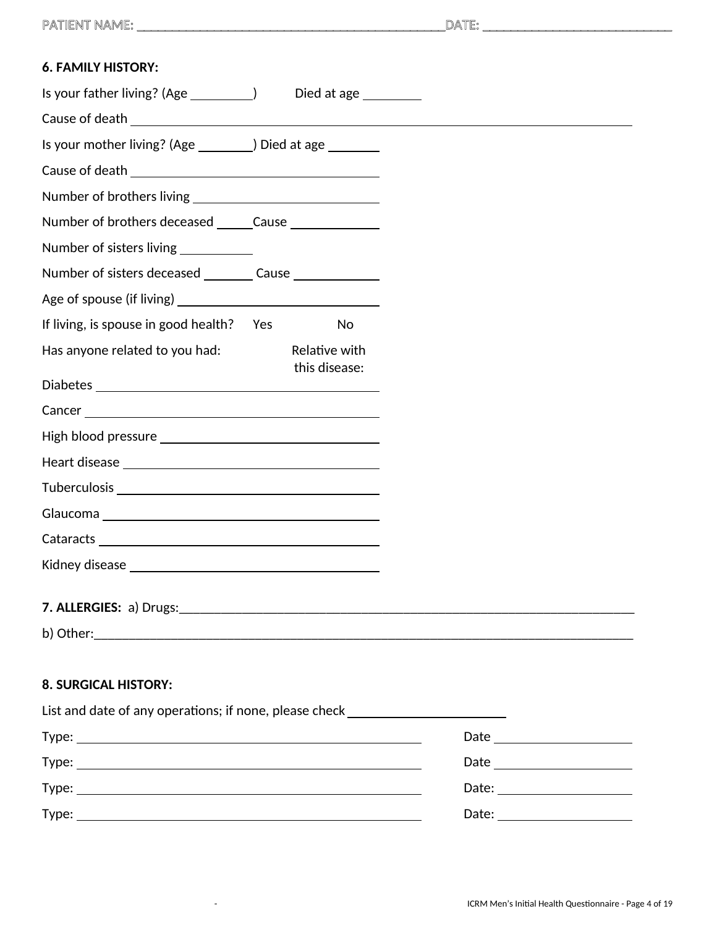| <b>6. FAMILY HISTORY:</b>                                                        |                      |
|----------------------------------------------------------------------------------|----------------------|
|                                                                                  | Died at age ________ |
| Cause of death <b>contract to the contract of the contract of death</b>          |                      |
| Is your mother living? (Age _________) Died at age ________                      |                      |
|                                                                                  |                      |
|                                                                                  |                      |
| Number of brothers deceased ______Cause _______________                          |                      |
| Number of sisters living ___________                                             |                      |
| Number of sisters deceased _________ Cause _______________                       |                      |
|                                                                                  |                      |
| If living, is spouse in good health? Yes                                         | No                   |
| Has anyone related to you had:                                                   | Relative with        |
|                                                                                  | this disease:        |
|                                                                                  |                      |
|                                                                                  |                      |
|                                                                                  |                      |
|                                                                                  |                      |
|                                                                                  |                      |
|                                                                                  |                      |
|                                                                                  |                      |
|                                                                                  |                      |
|                                                                                  |                      |
|                                                                                  |                      |
|                                                                                  |                      |
| <b>8. SURGICAL HISTORY:</b>                                                      |                      |
| List and date of any operations; if none, please check _________________________ |                      |
|                                                                                  |                      |
|                                                                                  |                      |

Type: Date:

Type: Date:

| Jafer<br> |  |
|-----------|--|
|           |  |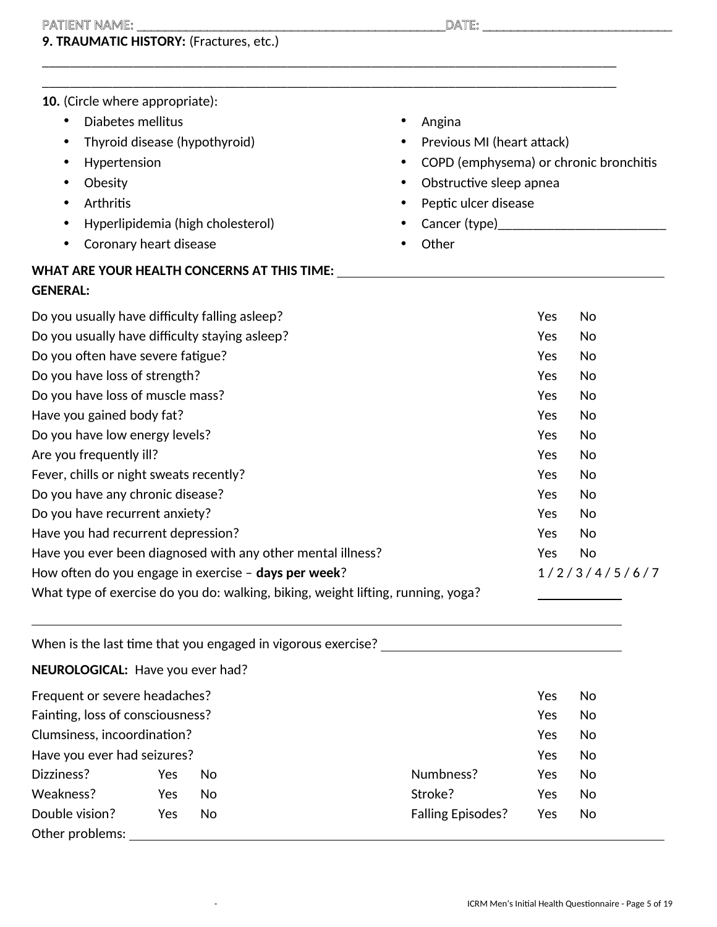## PATIENT NAME: \_\_\_\_\_\_\_\_\_\_\_\_\_\_\_\_\_\_\_\_\_\_\_\_\_\_\_\_\_\_\_\_\_\_\_\_\_\_\_\_\_\_\_\_DATE: \_\_\_\_\_\_\_\_\_\_\_\_\_\_\_\_\_\_\_\_\_\_\_\_\_\_\_

# **9. TRAUMATIC HISTORY:** (Fractures, etc.)

| 10. (Circle where appropriate):                                                  |                                        |  |  |
|----------------------------------------------------------------------------------|----------------------------------------|--|--|
| Diabetes mellitus<br>٠                                                           | Angina                                 |  |  |
| Thyroid disease (hypothyroid)<br>$\bullet$                                       | Previous MI (heart attack)             |  |  |
| Hypertension<br>$\bullet$                                                        | COPD (emphysema) or chronic bronchitis |  |  |
| Obesity<br>٠                                                                     | Obstructive sleep apnea<br>$\bullet$   |  |  |
| Arthritis<br>٠                                                                   | Peptic ulcer disease                   |  |  |
| Hyperlipidemia (high cholesterol)<br>$\bullet$                                   |                                        |  |  |
| Coronary heart disease<br>٠                                                      | Other                                  |  |  |
| WHAT ARE YOUR HEALTH CONCERNS AT THIS TIME:                                      |                                        |  |  |
| <b>GENERAL:</b>                                                                  |                                        |  |  |
| Do you usually have difficulty falling asleep?                                   | Yes<br>No                              |  |  |
| Do you usually have difficulty staying asleep?                                   | Yes<br>No                              |  |  |
| Do you often have severe fatigue?                                                | Yes<br>No                              |  |  |
| Do you have loss of strength?                                                    | No<br>Yes                              |  |  |
| Do you have loss of muscle mass?                                                 | Yes<br>No                              |  |  |
| Have you gained body fat?                                                        | No<br>Yes                              |  |  |
| Do you have low energy levels?                                                   | Yes<br>No                              |  |  |
| Are you frequently ill?                                                          | No<br>Yes                              |  |  |
| Fever, chills or night sweats recently?                                          | Yes<br>No                              |  |  |
| Do you have any chronic disease?                                                 | No<br>Yes                              |  |  |
| Do you have recurrent anxiety?                                                   | Yes<br>No                              |  |  |
| Have you had recurrent depression?                                               | Yes<br>No                              |  |  |
| Have you ever been diagnosed with any other mental illness?                      | No<br>Yes                              |  |  |
| How often do you engage in exercise - days per week?                             | 1/2/3/4/5/6/7                          |  |  |
| What type of exercise do you do: walking, biking, weight lifting, running, yoga? |                                        |  |  |

\_\_\_\_\_\_\_\_\_\_\_\_\_\_\_\_\_\_\_\_\_\_\_\_\_\_\_\_\_\_\_\_\_\_\_\_\_\_\_\_\_\_\_\_\_\_\_\_\_\_\_\_\_\_\_\_\_\_\_\_\_\_\_\_\_\_\_\_\_\_\_\_\_\_\_\_\_\_\_\_\_\_

|                                  |     |     | When is the last time that you engaged in vigorous exercise? |     |    |
|----------------------------------|-----|-----|--------------------------------------------------------------|-----|----|
| NEUROLOGICAL: Have you ever had? |     |     |                                                              |     |    |
| Frequent or severe headaches?    |     |     |                                                              | Yes | No |
| Fainting, loss of consciousness? |     |     |                                                              | Yes | No |
| Clumsiness, incoordination?      |     |     |                                                              | Yes | No |
| Have you ever had seizures?      |     |     |                                                              | Yes | No |
| Dizziness?                       | Yes | No. | Numbness?                                                    | Yes | No |
| Weakness?                        | Yes | No  | Stroke?                                                      | Yes | No |
| Double vision?                   | Yes | No  | <b>Falling Episodes?</b>                                     | Yes | No |
| Other problems:                  |     |     |                                                              |     |    |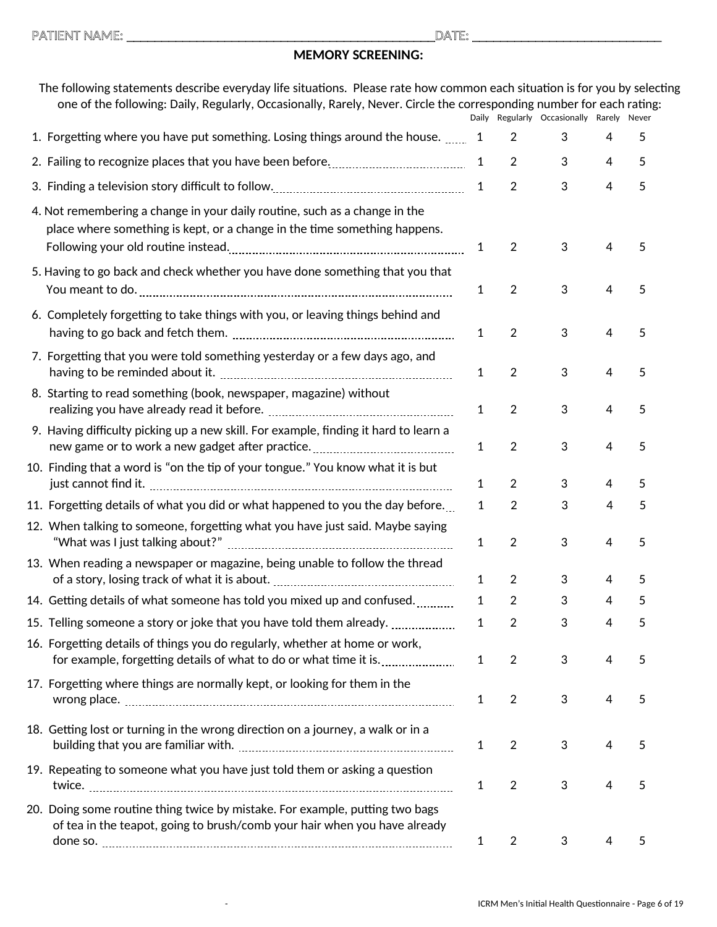### **MEMORY SCREENING:**

| The following statements describe everyday life situations. Please rate how common each situation is for you by selecting<br>one of the following: Daily, Regularly, Occasionally, Rarely, Never. Circle the corresponding number for each rating: |              |                | Daily Regularly Occasionally Rarely Never |                |   |  |
|----------------------------------------------------------------------------------------------------------------------------------------------------------------------------------------------------------------------------------------------------|--------------|----------------|-------------------------------------------|----------------|---|--|
| 1. Forgetting where you have put something. Losing things around the house.  1                                                                                                                                                                     |              | 2              | 3                                         | 4              | 5 |  |
|                                                                                                                                                                                                                                                    | 1            | $\overline{2}$ | 3                                         | 4              | 5 |  |
|                                                                                                                                                                                                                                                    | $\mathbf{1}$ | $\overline{2}$ | 3                                         | $\overline{4}$ | 5 |  |
| 4. Not remembering a change in your daily routine, such as a change in the<br>place where something is kept, or a change in the time something happens.                                                                                            | 1            | $\overline{2}$ | 3                                         | 4              | 5 |  |
| 5. Having to go back and check whether you have done something that you that                                                                                                                                                                       | $\mathbf{1}$ | $\overline{2}$ | 3                                         | $\overline{4}$ | 5 |  |
| 6. Completely forgetting to take things with you, or leaving things behind and                                                                                                                                                                     | $\mathbf{1}$ | $\sqrt{2}$     | 3                                         | 4              | 5 |  |
| 7. Forgetting that you were told something yesterday or a few days ago, and                                                                                                                                                                        | 1            | $\overline{2}$ | 3                                         | 4              | 5 |  |
| 8. Starting to read something (book, newspaper, magazine) without                                                                                                                                                                                  | 1            | $\overline{2}$ | 3                                         | 4              | 5 |  |
| 9. Having difficulty picking up a new skill. For example, finding it hard to learn a                                                                                                                                                               | $\mathbf{1}$ | $\overline{2}$ | 3                                         | $\overline{4}$ | 5 |  |
| 10. Finding that a word is "on the tip of your tongue." You know what it is but                                                                                                                                                                    | 1            | $\overline{2}$ | 3                                         | 4              | 5 |  |
| 11. Forgetting details of what you did or what happened to you the day before                                                                                                                                                                      | $\mathbf{1}$ | $\overline{2}$ | 3                                         | 4              | 5 |  |
| 12. When talking to someone, forgetting what you have just said. Maybe saying                                                                                                                                                                      | 1            | 2              | 3                                         | $\overline{4}$ | 5 |  |
| 13. When reading a newspaper or magazine, being unable to follow the thread                                                                                                                                                                        | 1            | $\overline{2}$ | 3                                         | 4              | 5 |  |
| 14. Getting details of what someone has told you mixed up and confused.                                                                                                                                                                            | 1            | 2              | 3                                         | 4              | 5 |  |
| 15. Telling someone a story or joke that you have told them already.                                                                                                                                                                               | 1            | $\overline{2}$ | 3                                         | 4              | 5 |  |
| 16. Forgetting details of things you do regularly, whether at home or work,<br>for example, forgetting details of what to do or what time it is.                                                                                                   | $\mathbf{1}$ | $\overline{2}$ | 3                                         | 4              | 5 |  |
| 17. Forgetting where things are normally kept, or looking for them in the                                                                                                                                                                          | 1            | $\overline{2}$ | 3                                         | 4              | 5 |  |
| 18. Getting lost or turning in the wrong direction on a journey, a walk or in a                                                                                                                                                                    | 1            | $\overline{2}$ | 3                                         | 4              | 5 |  |
| 19. Repeating to someone what you have just told them or asking a question                                                                                                                                                                         | $\mathbf{1}$ | $\overline{2}$ | 3                                         | 4              | 5 |  |
| 20. Doing some routine thing twice by mistake. For example, putting two bags<br>of tea in the teapot, going to brush/comb your hair when you have already                                                                                          |              |                |                                           |                |   |  |
|                                                                                                                                                                                                                                                    | 1            | $\overline{2}$ | 3                                         | 4              | 5 |  |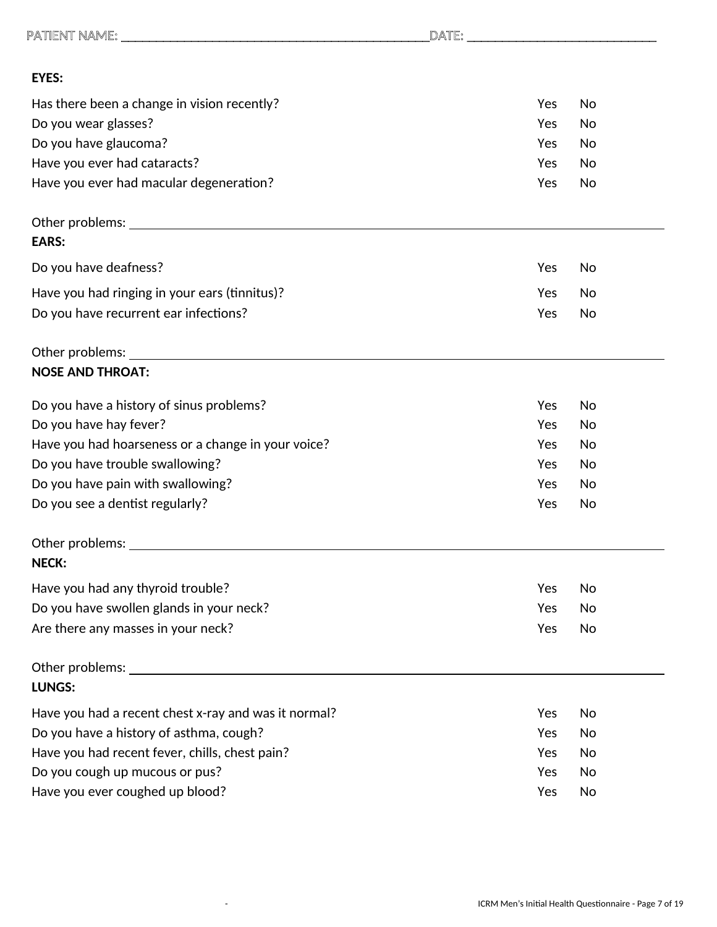| <b>EYES:</b>                                                                                                  |     |    |
|---------------------------------------------------------------------------------------------------------------|-----|----|
| Has there been a change in vision recently?                                                                   | Yes | No |
| Do you wear glasses?                                                                                          | Yes | No |
| Do you have glaucoma?                                                                                         | Yes | No |
| Have you ever had cataracts?                                                                                  | Yes | No |
| Have you ever had macular degeneration?                                                                       | Yes | No |
| <b>EARS:</b>                                                                                                  |     |    |
|                                                                                                               |     |    |
| Do you have deafness?                                                                                         | Yes | No |
| Have you had ringing in your ears (tinnitus)?                                                                 | Yes | No |
| Do you have recurrent ear infections?                                                                         | Yes | No |
| Other problems: University of the contract of the contract of the contract of the contract of the contract of |     |    |
| <b>NOSE AND THROAT:</b>                                                                                       |     |    |
| Do you have a history of sinus problems?                                                                      | Yes | No |
| Do you have hay fever?                                                                                        | Yes | No |
| Have you had hoarseness or a change in your voice?                                                            | Yes | No |
| Do you have trouble swallowing?                                                                               | Yes | No |
| Do you have pain with swallowing?                                                                             | Yes | No |
| Do you see a dentist regularly?                                                                               | Yes | No |
| Other problems:                                                                                               |     |    |
| <b>NECK:</b>                                                                                                  |     |    |
| Have you had any thyroid trouble?                                                                             | Yes | No |
| Do you have swollen glands in your neck?                                                                      | Yes | No |
| Are there any masses in your neck?                                                                            | Yes | No |
| Other problems: _________                                                                                     |     |    |
| <b>LUNGS:</b>                                                                                                 |     |    |
| Have you had a recent chest x-ray and was it normal?                                                          | Yes | No |
| Do you have a history of asthma, cough?                                                                       | Yes | No |
| Have you had recent fever, chills, chest pain?                                                                | Yes | No |
| Do you cough up mucous or pus?                                                                                | Yes | No |
| Have you ever coughed up blood?                                                                               | Yes | No |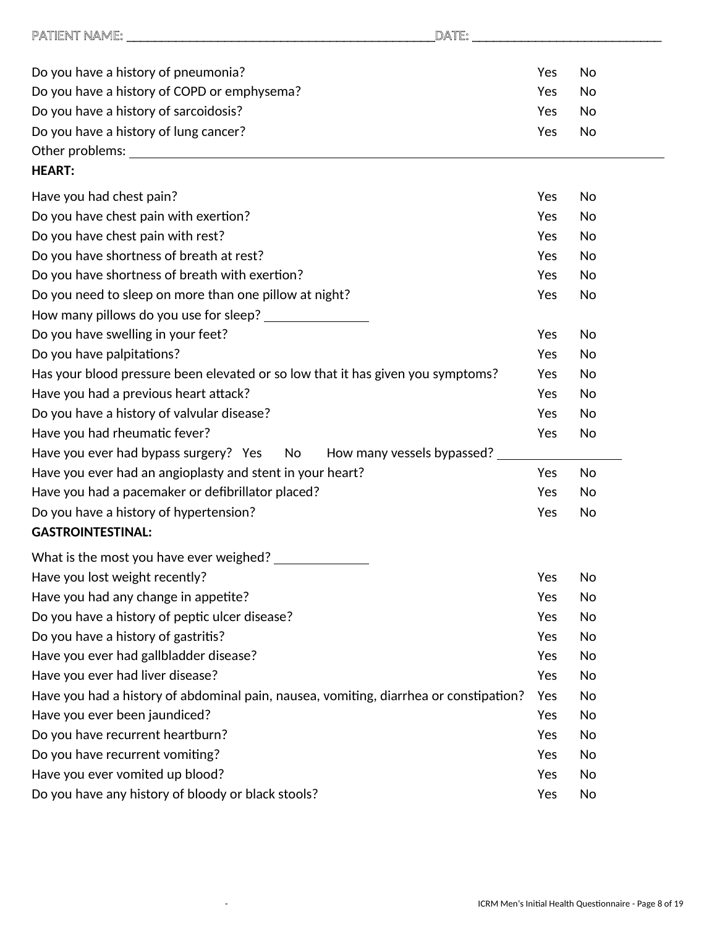| DATE:                                                                                                                                                                                                                          |     |    |
|--------------------------------------------------------------------------------------------------------------------------------------------------------------------------------------------------------------------------------|-----|----|
|                                                                                                                                                                                                                                |     |    |
| Do you have a history of pneumonia?                                                                                                                                                                                            | Yes | No |
| Do you have a history of COPD or emphysema?                                                                                                                                                                                    | Yes | No |
| Do you have a history of sarcoidosis?                                                                                                                                                                                          | Yes | No |
| Do you have a history of lung cancer?                                                                                                                                                                                          | Yes | No |
| Other problems: The contract of the contract of the contract of the contract of the contract of the contract of the contract of the contract of the contract of the contract of the contract of the contract of the contract o |     |    |
| <b>HEART:</b>                                                                                                                                                                                                                  |     |    |
| Have you had chest pain?                                                                                                                                                                                                       | Yes | No |
| Do you have chest pain with exertion?                                                                                                                                                                                          | Yes | No |
| Do you have chest pain with rest?                                                                                                                                                                                              | Yes | No |
| Do you have shortness of breath at rest?                                                                                                                                                                                       | Yes | No |
| Do you have shortness of breath with exertion?                                                                                                                                                                                 | Yes | No |
| Do you need to sleep on more than one pillow at night?                                                                                                                                                                         | Yes | No |
| How many pillows do you use for sleep?                                                                                                                                                                                         |     |    |
| Do you have swelling in your feet?                                                                                                                                                                                             | Yes | No |
| Do you have palpitations?                                                                                                                                                                                                      | Yes | No |
| Has your blood pressure been elevated or so low that it has given you symptoms?                                                                                                                                                | Yes | No |
| Have you had a previous heart attack?                                                                                                                                                                                          | Yes | No |
| Do you have a history of valvular disease?                                                                                                                                                                                     | Yes | No |
| Have you had rheumatic fever?                                                                                                                                                                                                  | Yes | No |
| How many vessels bypassed?<br>Have you ever had bypass surgery? Yes No                                                                                                                                                         |     |    |
| Have you ever had an angioplasty and stent in your heart?                                                                                                                                                                      | Yes | No |
| Have you had a pacemaker or defibrillator placed?                                                                                                                                                                              | Yes | No |
| Do you have a history of hypertension?                                                                                                                                                                                         | Yes | No |
| <b>GASTROINTESTINAL:</b>                                                                                                                                                                                                       |     |    |
| What is the most you have ever weighed?                                                                                                                                                                                        |     |    |
| Have you lost weight recently?                                                                                                                                                                                                 | Yes | No |
| Have you had any change in appetite?                                                                                                                                                                                           | Yes | No |
| Do you have a history of peptic ulcer disease?                                                                                                                                                                                 | Yes | No |
| Do you have a history of gastritis?                                                                                                                                                                                            | Yes | No |
| Have you ever had gallbladder disease?                                                                                                                                                                                         | Yes | No |
| Have you ever had liver disease?                                                                                                                                                                                               | Yes | No |
| Have you had a history of abdominal pain, nausea, vomiting, diarrhea or constipation?                                                                                                                                          | Yes | No |
| Have you ever been jaundiced?                                                                                                                                                                                                  | Yes | No |
| Do you have recurrent heartburn?                                                                                                                                                                                               | Yes | No |
| Do you have recurrent vomiting?                                                                                                                                                                                                | Yes | No |
| Have you ever vomited up blood?                                                                                                                                                                                                | Yes | No |
| Do you have any history of bloody or black stools?                                                                                                                                                                             | Yes | No |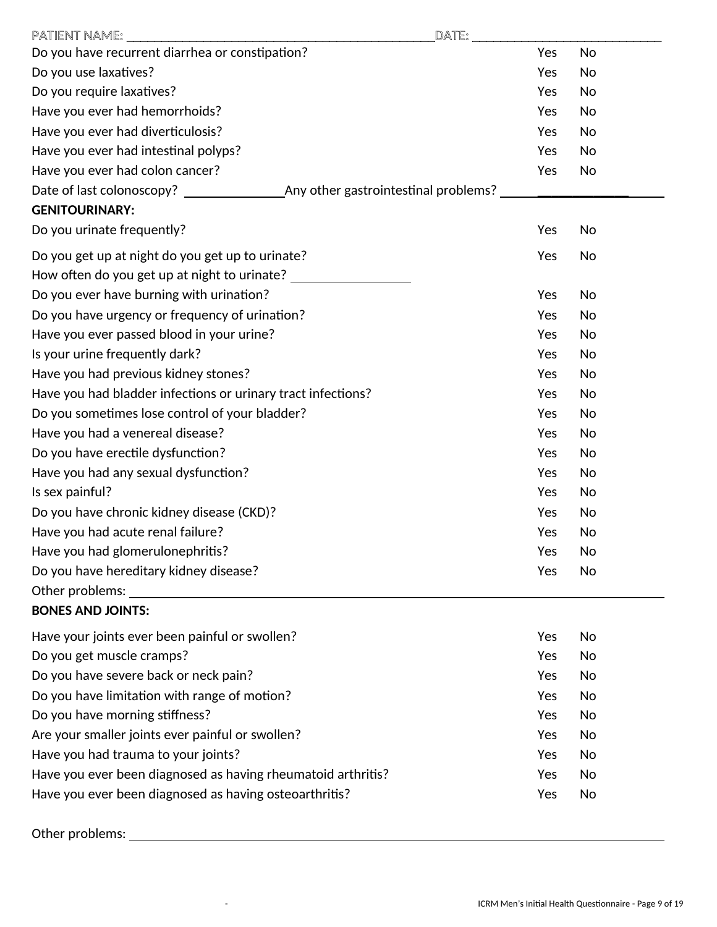| <b>PATIENT NAME:</b><br>DATE:                                      |     |           |
|--------------------------------------------------------------------|-----|-----------|
| Do you have recurrent diarrhea or constipation?                    | Yes | <b>No</b> |
| Do you use laxatives?                                              | Yes | <b>No</b> |
| Do you require laxatives?                                          | Yes | <b>No</b> |
| Have you ever had hemorrhoids?                                     | Yes | No        |
| Have you ever had diverticulosis?                                  | Yes | No        |
| Have you ever had intestinal polyps?                               | Yes | No        |
| Have you ever had colon cancer?                                    | Yes | No        |
| Date of last colonoscopy? The Any other gastrointestinal problems? |     |           |
| <b>GENITOURINARY:</b>                                              |     |           |
| Do you urinate frequently?                                         | Yes | No        |
| Do you get up at night do you get up to urinate?                   | Yes | No        |
| How often do you get up at night to urinate?                       |     |           |
| Do you ever have burning with urination?                           | Yes | No        |
| Do you have urgency or frequency of urination?                     | Yes | No        |
| Have you ever passed blood in your urine?                          | Yes | No        |
| Is your urine frequently dark?                                     | Yes | No        |
| Have you had previous kidney stones?                               | Yes | <b>No</b> |
| Have you had bladder infections or urinary tract infections?       | Yes | No        |
| Do you sometimes lose control of your bladder?                     | Yes | No        |
| Have you had a venereal disease?                                   | Yes | No        |
| Do you have erectile dysfunction?                                  | Yes | No        |
| Have you had any sexual dysfunction?                               | Yes | No        |
| Is sex painful?                                                    | Yes | No        |
| Do you have chronic kidney disease (CKD)?                          | Yes | No        |
| Have you had acute renal failure?                                  | Yes | No        |
| Have you had glomerulonephritis?                                   | Yes | No        |
| Do you have hereditary kidney disease?                             | Yes | No        |
| Other problems:                                                    |     |           |
| <b>BONES AND JOINTS:</b>                                           |     |           |
| Have your joints ever been painful or swollen?                     | Yes | No        |
| Do you get muscle cramps?                                          | Yes | No        |
| Do you have severe back or neck pain?                              | Yes | No        |
| Do you have limitation with range of motion?                       | Yes | No        |
| Do you have morning stiffness?                                     | Yes | No        |
| Are your smaller joints ever painful or swollen?                   | Yes | No        |
| Have you had trauma to your joints?                                | Yes | No        |
| Have you ever been diagnosed as having rheumatoid arthritis?       | Yes | No        |
| Have you ever been diagnosed as having osteoarthritis?             | Yes | No        |
|                                                                    |     |           |

Other problems: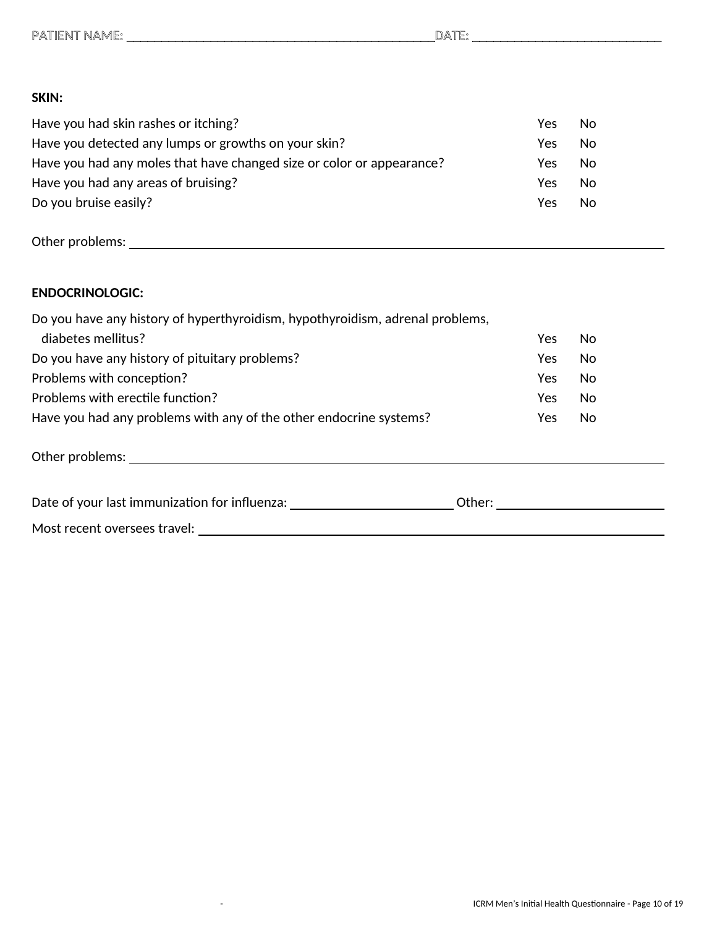#### **SKIN:**

| Have you had skin rashes or itching?                                  | Yes | No. |
|-----------------------------------------------------------------------|-----|-----|
| Have you detected any lumps or growths on your skin?                  | Yes | No. |
| Have you had any moles that have changed size or color or appearance? | Yes | No. |
| Have you had any areas of bruising?                                   | Yes | No. |
| Do you bruise easily?                                                 | Yes | No. |

Other problems:

### **ENDOCRINOLOGIC:**

| Do you have any history of hyperthyroidism, hypothyroidism, adrenal problems, |      |     |
|-------------------------------------------------------------------------------|------|-----|
| diabetes mellitus?                                                            | Yes  | No. |
| Do you have any history of pituitary problems?                                | Yes  | No  |
| Problems with conception?                                                     | Yes. | No  |
| Problems with erectile function?                                              | Yes  | No  |
| Have you had any problems with any of the other endocrine systems?            | Yes  | No  |

Other problems:

| Date of your last immunization for influenza: | .Jther |  |
|-----------------------------------------------|--------|--|
| Most recent oversees travel:                  |        |  |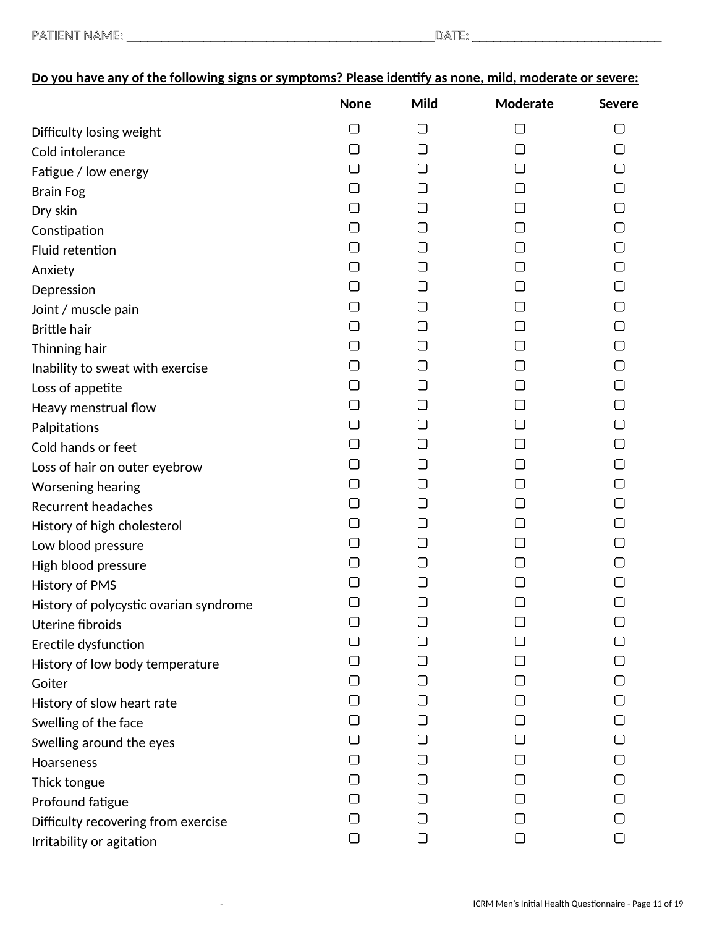|                                        | <b>None</b> | Mild                | Moderate | <b>Severe</b> |
|----------------------------------------|-------------|---------------------|----------|---------------|
| Difficulty losing weight               | □           | 0                   | $\Box$   | $\Box$        |
| Cold intolerance                       | □           | $\Box$              | 1 I      |               |
| Fatigue / low energy                   | П           | U                   |          |               |
| <b>Brain Fog</b>                       | □           | ∩                   |          |               |
| Dry skin                               | □           | $\Box$              | l 1      | ∩             |
| Constipation                           | ∩           | ∩                   | 1 I      | П             |
| Fluid retention                        | □           | ΙI                  |          |               |
| Anxiety                                | П           | $\lfloor \ \rfloor$ |          |               |
| Depression                             | □           | ∩                   |          | ∩             |
| Joint / muscle pain                    | $\Box$      | ⊓                   | l 1      | ▢             |
| <b>Brittle hair</b>                    | □           | $\Box$              | 1 I      | ∩             |
| Thinning hair                          | □           | $\Box$              |          | П             |
| Inability to sweat with exercise       | [ ]         | $\Box$              |          |               |
| Loss of appetite                       | □           | ∩                   |          |               |
| Heavy menstrual flow                   | ⊓           | $\Box$              | l 1      | □             |
| Palpitations                           | □           | $\Box$              | 1 I      |               |
| Cold hands or feet                     | □           | $\Box$              |          | $\Box$        |
| Loss of hair on outer eyebrow          | $\Box$      | ιI                  | L        |               |
| Worsening hearing                      | $\Box$      | ⊓                   |          |               |
| <b>Recurrent headaches</b>             | П           | ⊓                   | l 1      | ∩             |
| History of high cholesterol            | □           | O                   | П        |               |
| Low blood pressure                     | ∩           | $\Box$              | l 1      |               |
| High blood pressure                    | $\Box$      | $\Box$              | l 1      |               |
| History of PMS                         | $\Box$      | ⊓                   |          |               |
| History of polycystic ovarian syndrome | □           | О                   | $\Box$   | O             |
| Uterine fibroids                       |             |                     |          |               |
| Erectile dysfunction                   |             |                     |          |               |
| History of low body temperature        | U           |                     |          |               |
| Goiter                                 |             |                     |          |               |
| History of slow heart rate             |             | $\Box$              |          |               |
| Swelling of the face                   |             | $\mathbf{I}$        |          |               |
| Swelling around the eyes               |             |                     |          |               |
| Hoarseness                             |             |                     |          |               |
| Thick tongue                           |             |                     |          |               |
| Profound fatigue                       |             |                     |          |               |
| Difficulty recovering from exercise    |             |                     |          |               |
| Irritability or agitation              | О           | $\Box$              | О        | $\Box$        |

# **Do you have any of the following signs or symptoms? Please identify as none, mild, moderate or severe:**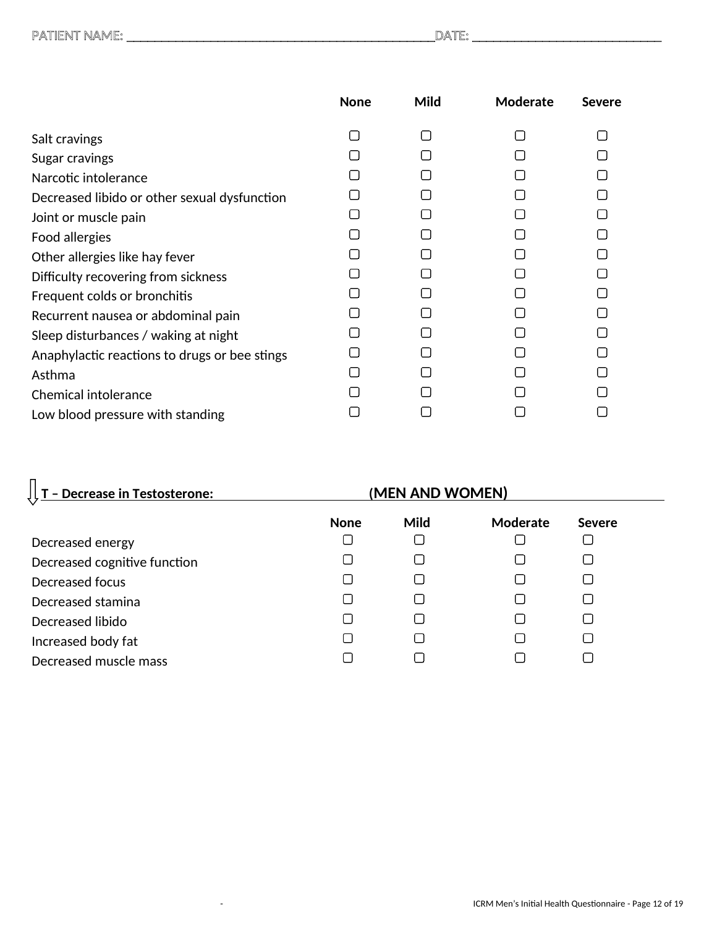|                                               | <b>None</b>  | Mild   | Moderate | <b>Severe</b> |
|-----------------------------------------------|--------------|--------|----------|---------------|
| Salt cravings                                 | П            | П      |          |               |
| Sugar cravings                                |              |        |          |               |
| Narcotic intolerance                          | $\Box$       |        |          |               |
| Decreased libido or other sexual dysfunction  |              |        |          |               |
| Joint or muscle pain                          |              |        |          |               |
| Food allergies                                |              | $\Box$ |          |               |
| Other allergies like hay fever                |              |        |          |               |
| Difficulty recovering from sickness           | $\Box$       |        |          |               |
| Frequent colds or bronchitis                  | ⊓            |        |          |               |
| Recurrent nausea or abdominal pain            | $\mathsf{L}$ |        |          |               |
| Sleep disturbances / waking at night          | $\Box$       |        |          |               |
| Anaphylactic reactions to drugs or bee stings |              |        |          |               |
| Asthma                                        | $\Box$       |        |          |               |
| <b>Chemical intolerance</b>                   |              |        |          |               |
| Low blood pressure with standing              |              |        |          |               |

| - Decrease in Testosterone:  | (MEN AND WOMEN) |                |          |               |  |
|------------------------------|-----------------|----------------|----------|---------------|--|
|                              | <b>None</b>     | Mild           | Moderate | <b>Severe</b> |  |
| Decreased energy             |                 |                |          |               |  |
| Decreased cognitive function |                 | $\mathsf{L}$   |          |               |  |
| Decreased focus              |                 | ΙI             |          |               |  |
| Decreased stamina            |                 | $\mathsf{L}$   |          |               |  |
| Decreased libido             |                 | $\blacksquare$ |          |               |  |
| Increased body fat           |                 |                |          |               |  |
| Decreased muscle mass        |                 |                |          |               |  |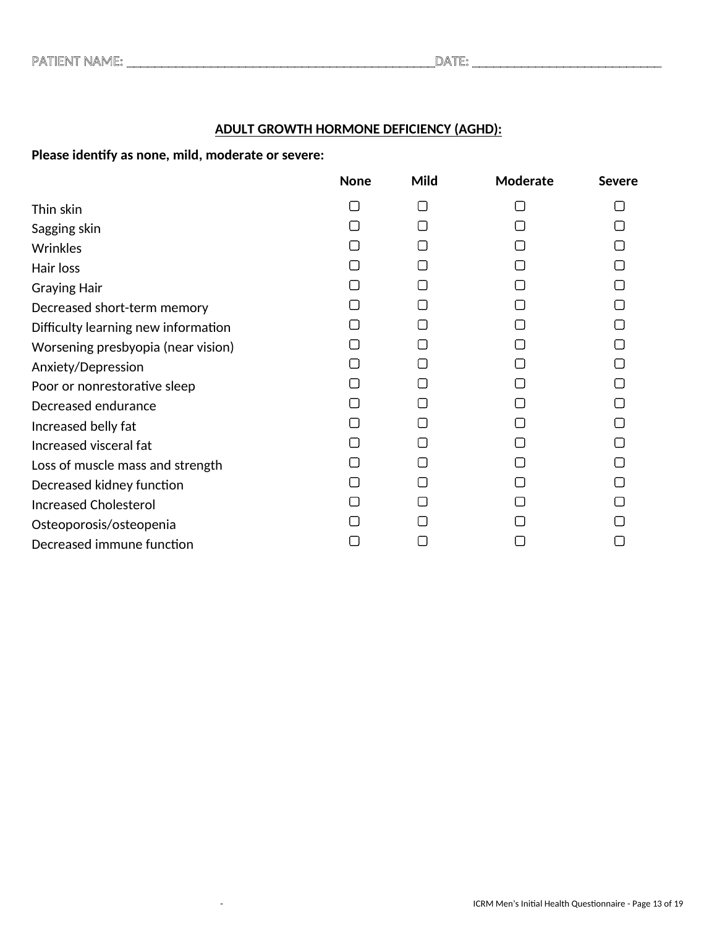### **ADULT GROWTH HORMONE DEFICIENCY (AGHD):**

**Please identify as none, mild, moderate or severe:** 

|                                     | <b>None</b> | Mild   | Moderate | <b>Severe</b> |
|-------------------------------------|-------------|--------|----------|---------------|
| Thin skin                           |             | П      | П        |               |
| Sagging skin                        |             | П      |          |               |
| Wrinkles                            |             | ┌      |          |               |
| Hair loss                           |             | ┌      |          |               |
| <b>Graying Hair</b>                 |             | ┌      |          |               |
| Decreased short-term memory         |             | ┌      |          |               |
| Difficulty learning new information |             | П      |          |               |
| Worsening presbyopia (near vision)  |             | $\Box$ |          |               |
| Anxiety/Depression                  |             | П      |          |               |
| Poor or nonrestorative sleep        |             | $\Box$ |          |               |
| Decreased endurance                 |             | $\Box$ |          |               |
| Increased belly fat                 |             | П      |          |               |
| Increased visceral fat              |             | $\Box$ |          |               |
| Loss of muscle mass and strength    |             | $\Box$ |          |               |
| Decreased kidney function           |             | $\Box$ |          |               |
| <b>Increased Cholesterol</b>        |             |        |          |               |
| Osteoporosis/osteopenia             |             |        |          |               |
| Decreased immune function           |             | Г      |          |               |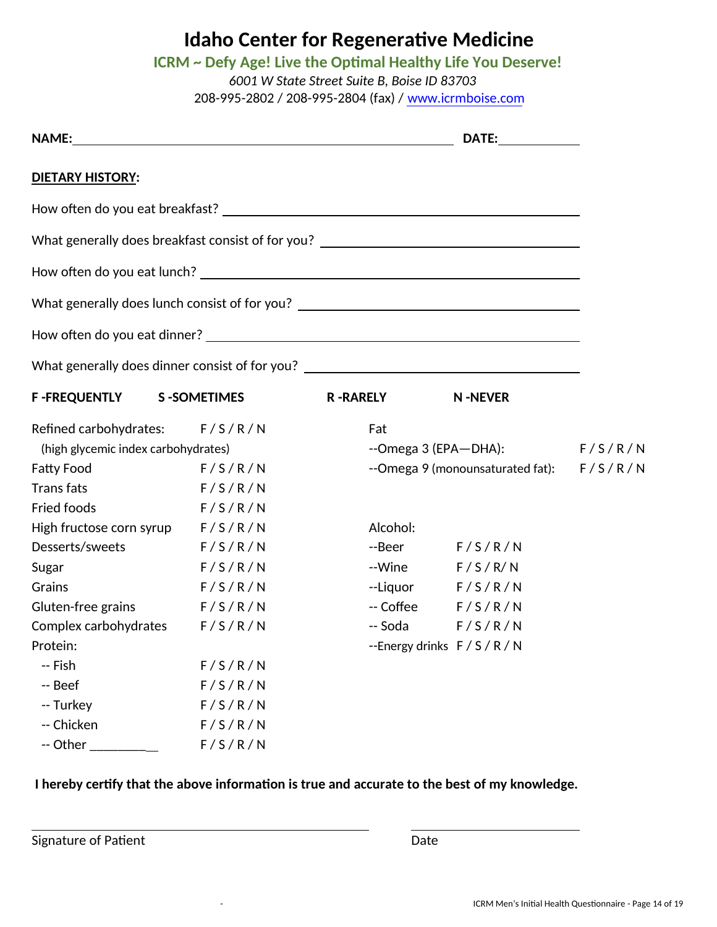# **ICRM ~ Defy Age! Live the Optimal Healthy Life You Deserve!**

*6001 W State Street Suite B, Boise ID 83703* 208-995-2802 / 208-995-2804 (fax) / www.icrmboise.com

|                                                                                                                                                                                                                                |                                                                                  |                 | DATE: _________                                |  |
|--------------------------------------------------------------------------------------------------------------------------------------------------------------------------------------------------------------------------------|----------------------------------------------------------------------------------|-----------------|------------------------------------------------|--|
| <b>DIETARY HISTORY:</b>                                                                                                                                                                                                        |                                                                                  |                 |                                                |  |
|                                                                                                                                                                                                                                |                                                                                  |                 |                                                |  |
|                                                                                                                                                                                                                                | What generally does breakfast consist of for you? ______________________________ |                 |                                                |  |
|                                                                                                                                                                                                                                |                                                                                  |                 |                                                |  |
|                                                                                                                                                                                                                                | What generally does lunch consist of for you? __________________________________ |                 |                                                |  |
|                                                                                                                                                                                                                                |                                                                                  |                 |                                                |  |
|                                                                                                                                                                                                                                | What generally does dinner consist of for you? _________________________________ |                 |                                                |  |
| <b>F-FREQUENTLY</b>                                                                                                                                                                                                            | <b>S-SOMETIMES</b>                                                               | <b>R-RARELY</b> | <b>N-NEVER</b>                                 |  |
| Refined carbohydrates: F/S/R/N                                                                                                                                                                                                 |                                                                                  | Fat             |                                                |  |
| (high glycemic index carbohydrates)                                                                                                                                                                                            |                                                                                  |                 | --Omega 3 (EPA-DHA): $F/S/R/N$                 |  |
| <b>Fatty Food</b>                                                                                                                                                                                                              | F/S/R/N                                                                          |                 | --Omega 9 (monounsaturated fat): F / S / R / N |  |
| <b>Trans fats</b>                                                                                                                                                                                                              | F/S/R/N                                                                          |                 |                                                |  |
| Fried foods                                                                                                                                                                                                                    | F/S/R/N                                                                          |                 |                                                |  |
| High fructose corn syrup F/S/R/N                                                                                                                                                                                               |                                                                                  | Alcohol:        |                                                |  |
| Desserts/sweets                                                                                                                                                                                                                | F/S/R/N                                                                          |                 | $-Beer$ $F/S/R/N$                              |  |
| Sugar                                                                                                                                                                                                                          | F/S/R/N                                                                          |                 | $-V$ ine $F/S/R/N$                             |  |
| Grains                                                                                                                                                                                                                         | F/S/R/N                                                                          |                 | $-Iiquor$ $F/S/R/N$                            |  |
| Gluten-free grains F/S/R/N                                                                                                                                                                                                     |                                                                                  |                 | $-$ Coffee $F/S/R/N$                           |  |
| Complex carbohydrates F/S/R/N                                                                                                                                                                                                  |                                                                                  |                 | $-$ Soda $F/S/R/N$                             |  |
| Protein: The contract of the contract of the contract of the contract of the contract of the contract of the contract of the contract of the contract of the contract of the contract of the contract of the contract of the c |                                                                                  |                 | --Energy drinks $F/S/R/N$                      |  |
| -- Fish                                                                                                                                                                                                                        | F/S/R/N                                                                          |                 |                                                |  |
| -- Beef                                                                                                                                                                                                                        | F/S/R/N                                                                          |                 |                                                |  |
| -- Turkey                                                                                                                                                                                                                      | F/S/R/N                                                                          |                 |                                                |  |
| -- Chicken                                                                                                                                                                                                                     | F/S/R/N                                                                          |                 |                                                |  |
| -- Other                                                                                                                                                                                                                       | F/S/R/N                                                                          |                 |                                                |  |

## **I hereby certify that the above information is true and accurate to the best of my knowledge.**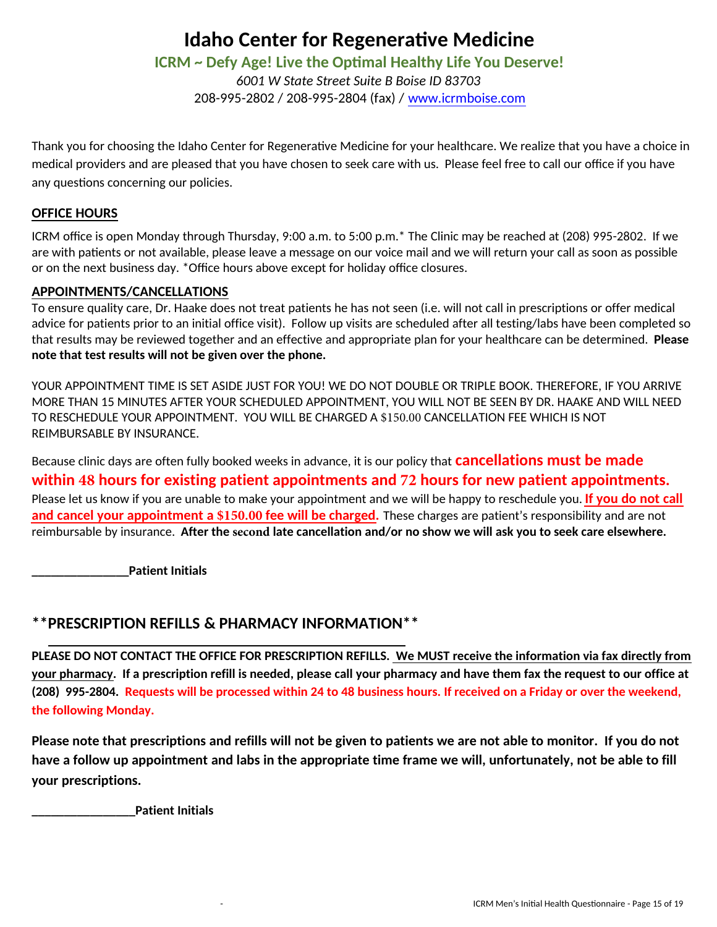### **ICRM ~ Defy Age! Live the Optimal Healthy Life You Deserve!**

*6001 W State Street Suite B Boise ID 83703* 208-995-2802 / 208-995-2804 (fax) / www.icrmboise.com

Thank you for choosing the Idaho Center for Regenerative Medicine for your healthcare. We realize that you have a choice in medical providers and are pleased that you have chosen to seek care with us. Please feel free to call our office if you have any questions concerning our policies.

#### **OFFICE HOURS**

ICRM office is open Monday through Thursday, 9:00 a.m. to 5:00 p.m.\* The Clinic may be reached at (208) 995-2802. If we are with patients or not available, please leave a message on our voice mail and we will return your call as soon as possible or on the next business day. \*Office hours above except for holiday office closures.

#### **APPOINTMENTS/CANCELLATIONS**

To ensure quality care, Dr. Haake does not treat patients he has not seen (i.e. will not call in prescriptions or offer medical advice for patients prior to an initial office visit). Follow up visits are scheduled after all testing/labs have been completed so that results may be reviewed together and an effective and appropriate plan for your healthcare can be determined. **Please note that test results will not be given over the phone.** 

YOUR APPOINTMENT TIME IS SET ASIDE JUST FOR YOU! WE DO NOT DOUBLE OR TRIPLE BOOK. THEREFORE, IF YOU ARRIVE MORE THAN 15 MINUTES AFTER YOUR SCHEDULED APPOINTMENT, YOU WILL NOT BE SEEN BY DR. HAAKE AND WILL NEED TO RESCHEDULE YOUR APPOINTMENT. YOU WILL BE CHARGED A \$150.00 CANCELLATION FEE WHICH IS NOT REIMBURSABLE BY INSURANCE.

Because clinic days are often fully booked weeks in advance, it is our policy that **cancellations must be made within 48 hours for existing patient appointments and 72 hours for new patient appointments.** Please let us know if you are unable to make your appointment and we will be happy to reschedule you. **If you do not call and cancel your appointment a \$150.00 fee will be charged.** These charges are patient's responsibility and are not reimbursable by insurance. **After the second late cancellation and/or no show we will ask you to seek care elsewhere.** 

**\_\_\_\_\_\_\_\_\_\_\_\_\_\_\_Patient Initials** 

# **\*\*PRESCRIPTION REFILLS & PHARMACY INFORMATION\*\***

**PLEASE DO NOT CONTACT THE OFFICE FOR PRESCRIPTION REFILLS. We MUST receive the information via fax directly from your pharmacy. If a prescription refill is needed, please call your pharmacy and have them fax the request to our office at (208) 995-2804. Requests will be processed within 24 to 48 business hours. If received on a Friday or over the weekend, the following Monday.**

**Please note that prescriptions and refills will not be given to patients we are not able to monitor. If you do not have a follow up appointment and labs in the appropriate time frame we will, unfortunately, not be able to fill your prescriptions.** 

**\_\_\_\_\_\_\_\_\_\_\_\_\_\_\_\_Patient Initials**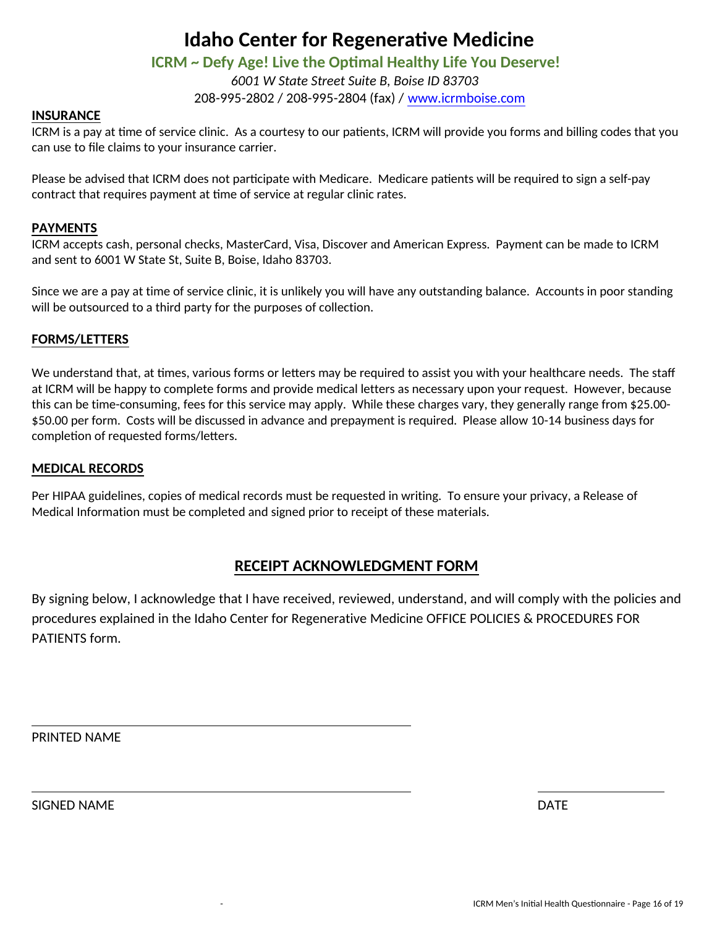## **ICRM ~ Defy Age! Live the Optimal Healthy Life You Deserve!**

*6001 W State Street Suite B, Boise ID 83703* 208-995-2802 / 208-995-2804 (fax) / www.icrmboise.com

#### **INSURANCE**

ICRM is a pay at time of service clinic. As a courtesy to our patients, ICRM will provide you forms and billing codes that you can use to file claims to your insurance carrier.

Please be advised that ICRM does not participate with Medicare. Medicare patients will be required to sign a self-pay contract that requires payment at time of service at regular clinic rates.

#### **PAYMENTS**

ICRM accepts cash, personal checks, MasterCard, Visa, Discover and American Express. Payment can be made to ICRM and sent to 6001 W State St, Suite B, Boise, Idaho 83703.

Since we are a pay at time of service clinic, it is unlikely you will have any outstanding balance. Accounts in poor standing will be outsourced to a third party for the purposes of collection.

#### **FORMS/LETTERS**

We understand that, at times, various forms or letters may be required to assist you with your healthcare needs. The staff at ICRM will be happy to complete forms and provide medical letters as necessary upon your request. However, because this can be time-consuming, fees for this service may apply. While these charges vary, they generally range from \$25.00- \$50.00 per form. Costs will be discussed in advance and prepayment is required. Please allow 10-14 business days for completion of requested forms/letters.

#### **MEDICAL RECORDS**

Per HIPAA guidelines, copies of medical records must be requested in writing. To ensure your privacy, a Release of Medical Information must be completed and signed prior to receipt of these materials.

### **RECEIPT ACKNOWLEDGMENT FORM**

By signing below, I acknowledge that I have received, reviewed, understand, and will comply with the policies and procedures explained in the Idaho Center for Regenerative Medicine OFFICE POLICIES & PROCEDURES FOR PATIENTS form.

PRINTED NAME

SIGNED NAME DATE OF THE SERVICE OF THE SERVICE OF THE SERVICE OF THE SERVICE OF THE SERVICE OF THE SERVICE OF THE SERVICE OF THE SERVICE OF THE SERVICE OF THE SERVICE OF THE SERVICE OF THE SERVICE OF THE SERVICE OF THE SER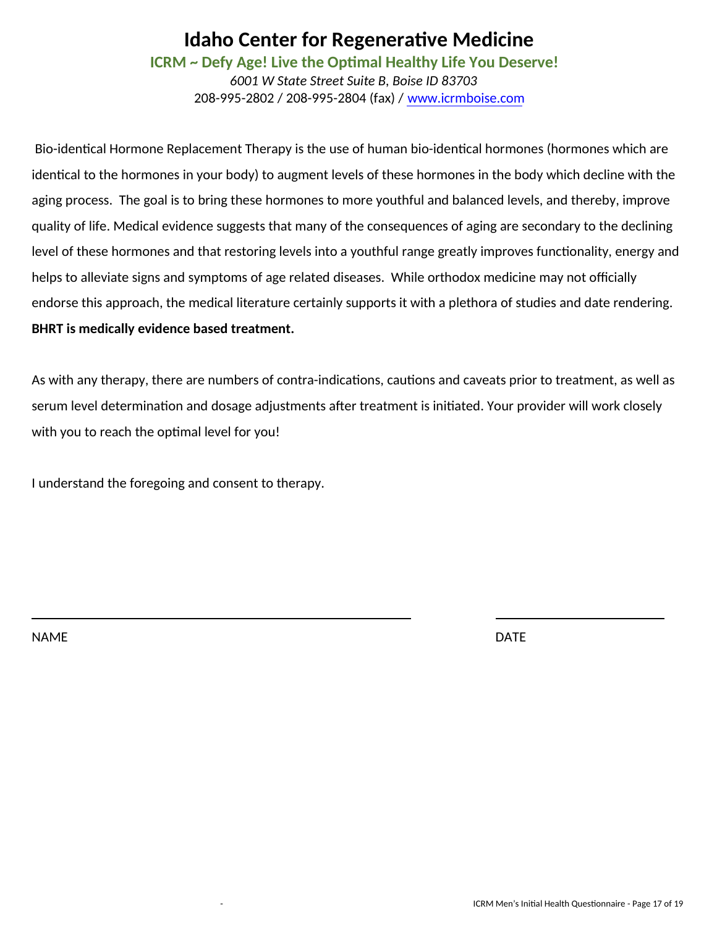**ICRM ~ Defy Age! Live the Optimal Healthy Life You Deserve!** 

*6001 W State Street Suite B, Boise ID 83703* 208-995-2802 / 208-995-2804 (fax) / www.icrmboise.com

Bio-identical Hormone Replacement Therapy is the use of human bio-identical hormones (hormones which are identical to the hormones in your body) to augment levels of these hormones in the body which decline with the aging process. The goal is to bring these hormones to more youthful and balanced levels, and thereby, improve quality of life. Medical evidence suggests that many of the consequences of aging are secondary to the declining level of these hormones and that restoring levels into a youthful range greatly improves functionality, energy and helps to alleviate signs and symptoms of age related diseases. While orthodox medicine may not officially endorse this approach, the medical literature certainly supports it with a plethora of studies and date rendering. **BHRT is medically evidence based treatment.** 

As with any therapy, there are numbers of contra-indications, cautions and caveats prior to treatment, as well as serum level determination and dosage adjustments after treatment is initiated. Your provider will work closely with you to reach the optimal level for you!

I understand the foregoing and consent to therapy.

NAME DATE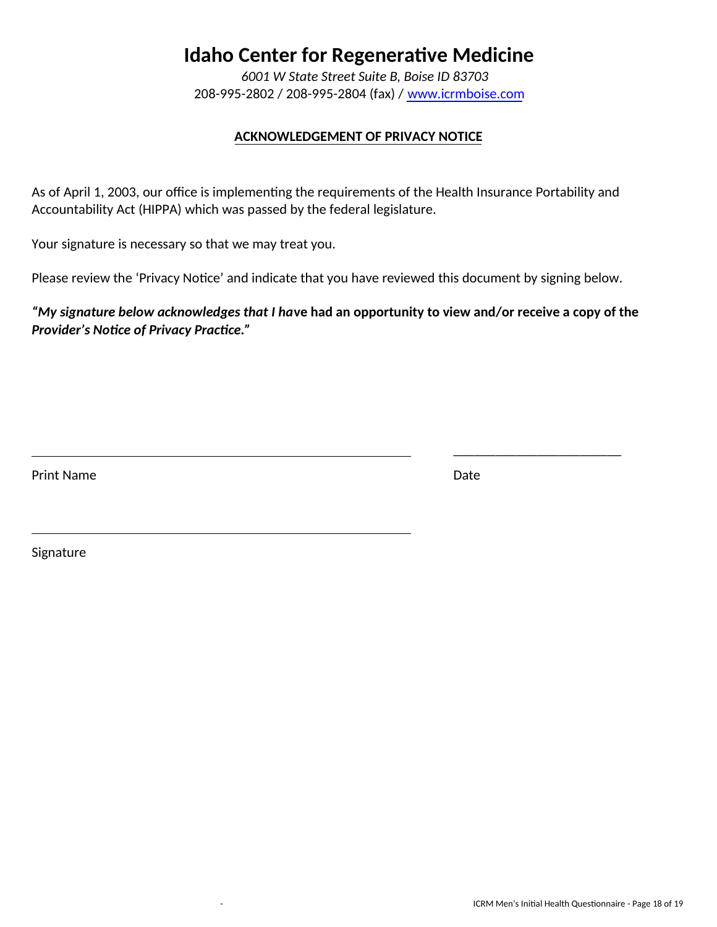*6001 W State Street Suite B, Boise ID 83703* 208-995-2802 / 208-995-2804 (fax) / www.icrmboise.com

### **ACKNOWLEDGEMENT OF PRIVACY NOTICE**

As of April 1, 2003, our office is implementing the requirements of the Health Insurance Portability and Accountability Act (HIPPA) which was passed by the federal legislature.

Your signature is necessary so that we may treat you.

Please review the 'Privacy Notice' and indicate that you have reviewed this document by signing below.

*"My signature below acknowledges that I ha***ve had an opportunity to view and/or receive a copy of the**  *Provider's Notice of Privacy Practice."*

Print Name Date **Date** 

\_\_\_\_\_\_\_\_\_\_\_\_\_\_\_\_\_\_\_\_\_\_\_\_

Signature